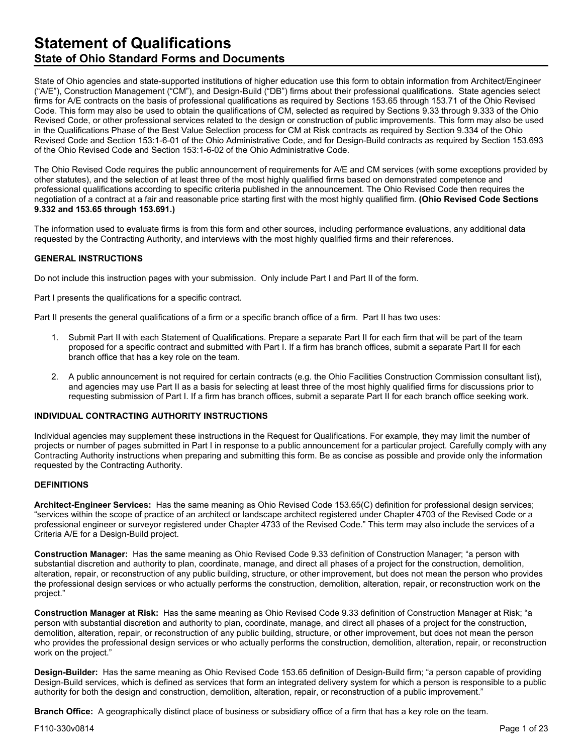# **Statement of Qualifications State of Ohio Standard Forms and Documents**

State of Ohio agencies and state-supported institutions of higher education use this form to obtain information from Architect/Engineer ("A/E"), Construction Management ("CM"), and Design-Build ("DB") firms about their professional qualifications. State agencies select firms for A/E contracts on the basis of professional qualifications as required by Sections 153.65 through 153.71 of the Ohio Revised Code. This form may also be used to obtain the qualifications of CM, selected as required by Sections 9.33 through 9.333 of the Ohio Revised Code, or other professional services related to the design or construction of public improvements. This form may also be used in the Qualifications Phase of the Best Value Selection process for CM at Risk contracts as required by Section 9.334 of the Ohio Revised Code and Section 153:1-6-01 of the Ohio Administrative Code, and for Design-Build contracts as required by Section 153.693 of the Ohio Revised Code and Section 153:1-6-02 of the Ohio Administrative Code.

The Ohio Revised Code requires the public announcement of requirements for A/E and CM services (with some exceptions provided by other statutes), and the selection of at least three of the most highly qualified firms based on demonstrated competence and professional qualifications according to specific criteria published in the announcement. The Ohio Revised Code then requires the negotiation of a contract at a fair and reasonable price starting first with the most highly qualified firm. **(Ohio Revised Code Sections 9.332 and 153.65 through 153.691.)**

The information used to evaluate firms is from this form and other sources, including performance evaluations, any additional data requested by the Contracting Authority, and interviews with the most highly qualified firms and their references.

#### **GENERAL INSTRUCTIONS**

Do not include this instruction pages with your submission. Only include Part I and Part II of the form.

Part I presents the qualifications for a specific contract.

Part II presents the general qualifications of a firm or a specific branch office of a firm. Part II has two uses:

- 1. Submit Part II with each Statement of Qualifications. Prepare a separate Part II for each firm that will be part of the team proposed for a specific contract and submitted with Part I. If a firm has branch offices, submit a separate Part II for each branch office that has a key role on the team.
- 2. A public announcement is not required for certain contracts (e.g. the Ohio Facilities Construction Commission consultant list), and agencies may use Part II as a basis for selecting at least three of the most highly qualified firms for discussions prior to requesting submission of Part I. If a firm has branch offices, submit a separate Part II for each branch office seeking work.

#### **INDIVIDUAL CONTRACTING AUTHORITY INSTRUCTIONS**

Individual agencies may supplement these instructions in the Request for Qualifications. For example, they may limit the number of projects or number of pages submitted in Part I in response to a public announcement for a particular project. Carefully comply with any Contracting Authority instructions when preparing and submitting this form. Be as concise as possible and provide only the information requested by the Contracting Authority.

#### **DEFINITIONS**

**Architect-Engineer Services:** Has the same meaning as Ohio Revised Code 153.65(C) definition for professional design services; "services within the scope of practice of an architect or landscape architect registered under Chapter 4703 of the Revised Code or a professional engineer or surveyor registered under Chapter 4733 of the Revised Code." This term may also include the services of a Criteria A/E for a Design-Build project.

**Construction Manager:** Has the same meaning as Ohio Revised Code 9.33 definition of Construction Manager; "a person with substantial discretion and authority to plan, coordinate, manage, and direct all phases of a project for the construction, demolition, alteration, repair, or reconstruction of any public building, structure, or other improvement, but does not mean the person who provides the professional design services or who actually performs the construction, demolition, alteration, repair, or reconstruction work on the project."

**Construction Manager at Risk:** Has the same meaning as Ohio Revised Code 9.33 definition of Construction Manager at Risk; "a person with substantial discretion and authority to plan, coordinate, manage, and direct all phases of a project for the construction, demolition, alteration, repair, or reconstruction of any public building, structure, or other improvement, but does not mean the person who provides the professional design services or who actually performs the construction, demolition, alteration, repair, or reconstruction work on the project."

**Design-Builder:** Has the same meaning as Ohio Revised Code 153.65 definition of Design-Build firm; "a person capable of providing Design-Build services, which is defined as services that form an integrated delivery system for which a person is responsible to a public authority for both the design and construction, demolition, alteration, repair, or reconstruction of a public improvement."

**Branch Office:** A geographically distinct place of business or subsidiary office of a firm that has a key role on the team.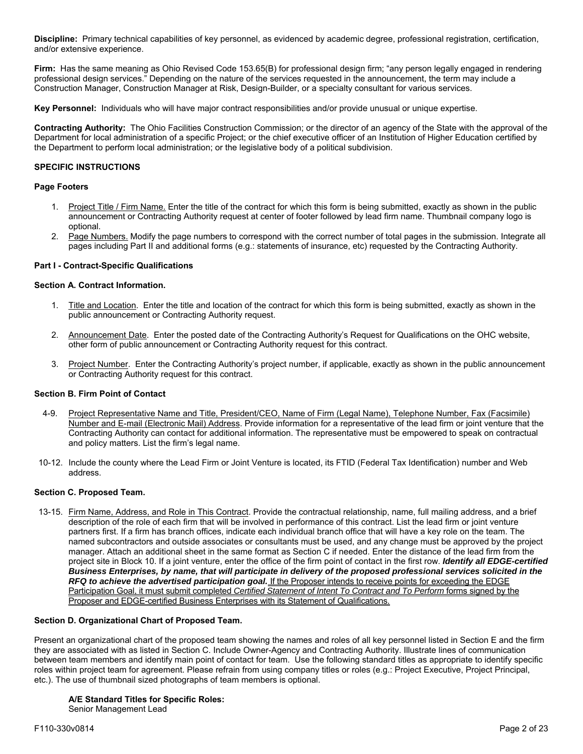**Discipline:** Primary technical capabilities of key personnel, as evidenced by academic degree, professional registration, certification, and/or extensive experience.

**Firm:** Has the same meaning as Ohio Revised Code 153.65(B) for professional design firm; "any person legally engaged in rendering professional design services." Depending on the nature of the services requested in the announcement, the term may include a Construction Manager, Construction Manager at Risk, Design-Builder, or a specialty consultant for various services.

**Key Personnel:** Individuals who will have major contract responsibilities and/or provide unusual or unique expertise.

**Contracting Authority:** The Ohio Facilities Construction Commission; or the director of an agency of the State with the approval of the Department for local administration of a specific Project; or the chief executive officer of an Institution of Higher Education certified by the Department to perform local administration; or the legislative body of a political subdivision.

### **SPECIFIC INSTRUCTIONS**

#### **Page Footers**

- 1. Project Title / Firm Name. Enter the title of the contract for which this form is being submitted, exactly as shown in the public announcement or Contracting Authority request at center of footer followed by lead firm name. Thumbnail company logo is optional.
- 2. Page Numbers. Modify the page numbers to correspond with the correct number of total pages in the submission. Integrate all pages including Part II and additional forms (e.g.: statements of insurance, etc) requested by the Contracting Authority.

#### **Part I - Contract-Specific Qualifications**

#### **Section A. Contract Information.**

- 1. Title and Location. Enter the title and location of the contract for which this form is being submitted, exactly as shown in the public announcement or Contracting Authority request.
- 2. Announcement Date. Enter the posted date of the Contracting Authority's Request for Qualifications on the OHC website, other form of public announcement or Contracting Authority request for this contract.
- 3. Project Number. Enter the Contracting Authority's project number, if applicable, exactly as shown in the public announcement or Contracting Authority request for this contract.

#### **Section B. Firm Point of Contact**

- 4-9. Project Representative Name and Title, President/CEO, Name of Firm (Legal Name), Telephone Number, Fax (Facsimile) Number and E-mail (Electronic Mail) Address. Provide information for a representative of the lead firm or joint venture that the Contracting Authority can contact for additional information. The representative must be empowered to speak on contractual and policy matters. List the firm's legal name.
- 10-12. Include the county where the Lead Firm or Joint Venture is located, its FTID (Federal Tax Identification) number and Web address.

#### **Section C. Proposed Team.**

13-15. Firm Name, Address, and Role in This Contract. Provide the contractual relationship, name, full mailing address, and a brief description of the role of each firm that will be involved in performance of this contract. List the lead firm or joint venture partners first. If a firm has branch offices, indicate each individual branch office that will have a key role on the team. The named subcontractors and outside associates or consultants must be used, and any change must be approved by the project manager. Attach an additional sheet in the same format as Section C if needed. Enter the distance of the lead firm from the project site in Block 10. If a joint venture, enter the office of the firm point of contact in the first row. *Identify all EDGE-certified Business Enterprises, by name, that will participate in delivery of the proposed professional services solicited in the RFQ to achieve the advertised participation goal.* If the Proposer intends to receive points for exceeding the EDGE Participation Goal, it must submit completed *Certified Statement of Intent To Contract and To Perform* forms signed by the Proposer and EDGE-certified Business Enterprises with its Statement of Qualifications.

#### **Section D. Organizational Chart of Proposed Team.**

Present an organizational chart of the proposed team showing the names and roles of all key personnel listed in Section E and the firm they are associated with as listed in Section C. Include Owner-Agency and Contracting Authority. Illustrate lines of communication between team members and identify main point of contact for team. Use the following standard titles as appropriate to identify specific roles within project team for agreement. Please refrain from using company titles or roles (e.g.: Project Executive, Project Principal, etc.). The use of thumbnail sized photographs of team members is optional.

# **A/E Standard Titles for Specific Roles:**

Senior Management Lead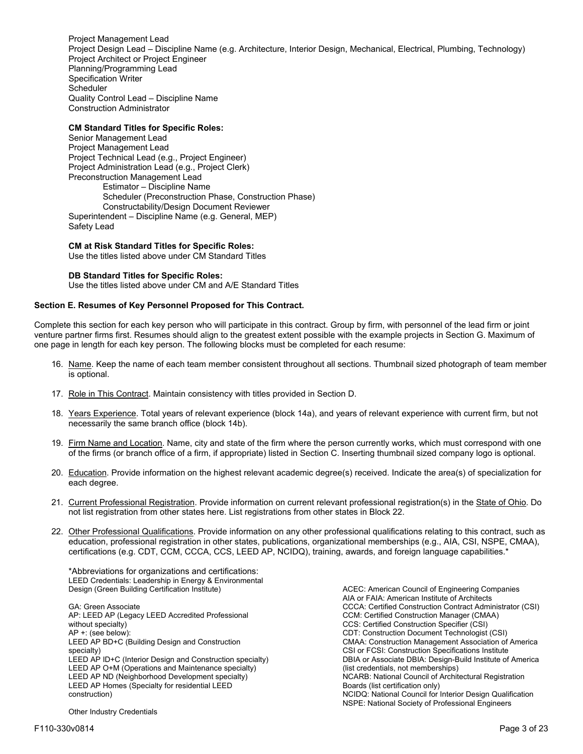Project Management Lead Project Design Lead – Discipline Name (e.g. Architecture, Interior Design, Mechanical, Electrical, Plumbing, Technology) Project Architect or Project Engineer Planning/Programming Lead Specification Writer **Scheduler**  Quality Control Lead – Discipline Name Construction Administrator

#### **CM Standard Titles for Specific Roles:**

 Senior Management Lead Project Management Lead Project Technical Lead (e.g., Project Engineer) Project Administration Lead (e.g., Project Clerk) Preconstruction Management Lead Estimator – Discipline Name Scheduler (Preconstruction Phase, Construction Phase) Constructability/Design Document Reviewer Superintendent – Discipline Name (e.g. General, MEP) Safety Lead

#### **CM at Risk Standard Titles for Specific Roles:**

Use the titles listed above under CM Standard Titles

#### **DB Standard Titles for Specific Roles:**

Use the titles listed above under CM and A/E Standard Titles

#### **Section E. Resumes of Key Personnel Proposed for This Contract.**

Complete this section for each key person who will participate in this contract. Group by firm, with personnel of the lead firm or joint venture partner firms first. Resumes should align to the greatest extent possible with the example projects in Section G. Maximum of one page in length for each key person. The following blocks must be completed for each resume:

- 16. Name. Keep the name of each team member consistent throughout all sections. Thumbnail sized photograph of team member is optional.
- 17. Role in This Contract. Maintain consistency with titles provided in Section D.
- 18. Years Experience. Total years of relevant experience (block 14a), and years of relevant experience with current firm, but not necessarily the same branch office (block 14b).
- 19. Firm Name and Location. Name, city and state of the firm where the person currently works, which must correspond with one of the firms (or branch office of a firm, if appropriate) listed in Section C. Inserting thumbnail sized company logo is optional.
- 20. Education. Provide information on the highest relevant academic degree(s) received. Indicate the area(s) of specialization for each degree.
- 21. Current Professional Registration. Provide information on current relevant professional registration(s) in the State of Ohio. Do not list registration from other states here. List registrations from other states in Block 22.
- 22. Other Professional Qualifications. Provide information on any other professional qualifications relating to this contract, such as education, professional registration in other states, publications, organizational memberships (e.g., AIA, CSI, NSPE, CMAA), certifications (e.g. CDT, CCM, CCCA, CCS, LEED AP, NCIDQ), training, awards, and foreign language capabilities.\*

\*Abbreviations for organizations and certifications: LEED Credentials: Leadership in Energy & Environmental Design (Green Building Certification Institute)

GA: Green Associate AP: LEED AP (Legacy LEED Accredited Professional without specialty) AP +: (see below): LEED AP BD+C (Building Design and Construction specialty) LEED AP ID+C (Interior Design and Construction specialty) LEED AP O+M (Operations and Maintenance specialty) LEED AP ND (Neighborhood Development specialty) LEED AP Homes (Specialty for residential LEED construction)

ACEC: American Council of Engineering Companies AIA or FAIA: American Institute of Architects CCCA: Certified Construction Contract Administrator (CSI) CCM: Certified Construction Manager (CMAA) CCS: Certified Construction Specifier (CSI) CDT: Construction Document Technologist (CSI) CMAA: Construction Management Association of America CSI or FCSI: Construction Specifications Institute DBIA or Associate DBIA: Design-Build Institute of America (list credentials, not memberships) NCARB: National Council of Architectural Registration Boards (list certification only) NCIDQ: National Council for Interior Design Qualification NSPE: National Society of Professional Engineers

Other Industry Credentials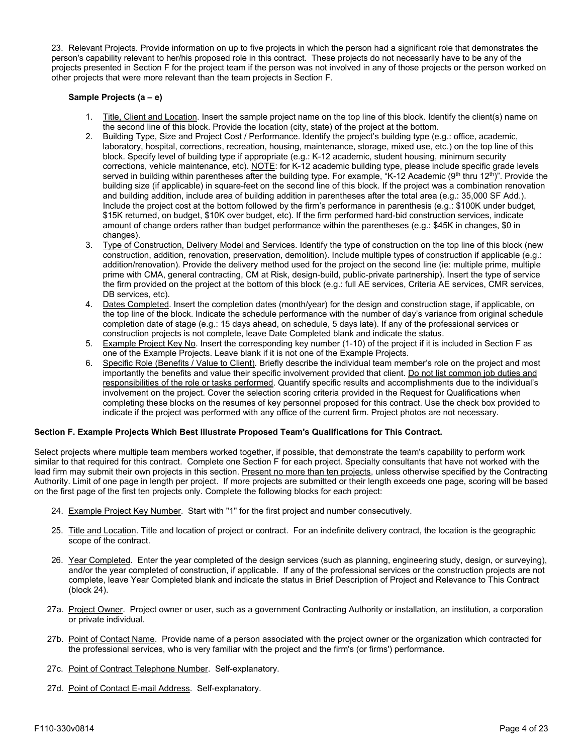23. Relevant Projects. Provide information on up to five projects in which the person had a significant role that demonstrates the person's capability relevant to her/his proposed role in this contract. These projects do not necessarily have to be any of the projects presented in Section F for the project team if the person was not involved in any of those projects or the person worked on other projects that were more relevant than the team projects in Section F.

#### **Sample Projects (a – e)**

- 1. Title, Client and Location. Insert the sample project name on the top line of this block. Identify the client(s) name on the second line of this block. Provide the location (city, state) of the project at the bottom.
- 2. Building Type, Size and Project Cost / Performance. Identify the project's building type (e.g.: office, academic, laboratory, hospital, corrections, recreation, housing, maintenance, storage, mixed use, etc.) on the top line of this block. Specify level of building type if appropriate (e.g.: K-12 academic, student housing, minimum security corrections, vehicle maintenance, etc). NOTE: for K-12 academic building type, please include specific grade levels served in building within parentheses after the building type. For example, "K-12 Academic (9<sup>th</sup> thru 12<sup>th)"</sup>. Provide the building size (if applicable) in square-feet on the second line of this block. If the project was a combination renovation and building addition, include area of building addition in parentheses after the total area (e.g.: 35,000 SF Add.). Include the project cost at the bottom followed by the firm's performance in parenthesis (e.g.: \$100K under budget, \$15K returned, on budget, \$10K over budget, etc). If the firm performed hard-bid construction services, indicate amount of change orders rather than budget performance within the parentheses (e.g.: \$45K in changes, \$0 in changes).
- 3. Type of Construction, Delivery Model and Services. Identify the type of construction on the top line of this block (new construction, addition, renovation, preservation, demolition). Include multiple types of construction if applicable (e.g.: addition/renovation). Provide the delivery method used for the project on the second line (ie: multiple prime, multiple prime with CMA, general contracting, CM at Risk, design-build, public-private partnership). Insert the type of service the firm provided on the project at the bottom of this block (e.g.: full AE services, Criteria AE services, CMR services, DB services, etc).
- 4. Dates Completed. Insert the completion dates (month/year) for the design and construction stage, if applicable, on the top line of the block. Indicate the schedule performance with the number of day's variance from original schedule completion date of stage (e.g.: 15 days ahead, on schedule, 5 days late). If any of the professional services or construction projects is not complete, leave Date Completed blank and indicate the status.
- 5. Example Project Key No. Insert the corresponding key number (1-10) of the project if it is included in Section F as one of the Example Projects. Leave blank if it is not one of the Example Projects.
- 6. Specific Role (Benefits / Value to Client). Briefly describe the individual team member's role on the project and most importantly the benefits and value their specific involvement provided that client. Do not list common job duties and responsibilities of the role or tasks performed. Quantify specific results and accomplishments due to the individual's involvement on the project. Cover the selection scoring criteria provided in the Request for Qualifications when completing these blocks on the resumes of key personnel proposed for this contract. Use the check box provided to indicate if the project was performed with any office of the current firm. Project photos are not necessary.

#### **Section F. Example Projects Which Best Illustrate Proposed Team's Qualifications for This Contract.**

Select projects where multiple team members worked together, if possible, that demonstrate the team's capability to perform work similar to that required for this contract. Complete one Section F for each project. Specialty consultants that have not worked with the lead firm may submit their own projects in this section. Present no more than ten projects, unless otherwise specified by the Contracting Authority. Limit of one page in length per project. If more projects are submitted or their length exceeds one page, scoring will be based on the first page of the first ten projects only. Complete the following blocks for each project:

- 24. Example Project Key Number. Start with "1" for the first project and number consecutively.
- 25. Title and Location. Title and location of project or contract. For an indefinite delivery contract, the location is the geographic scope of the contract.
- 26. Year Completed. Enter the year completed of the design services (such as planning, engineering study, design, or surveying), and/or the year completed of construction, if applicable. If any of the professional services or the construction projects are not complete, leave Year Completed blank and indicate the status in Brief Description of Project and Relevance to This Contract (block 24).
- 27a. Project Owner. Project owner or user, such as a government Contracting Authority or installation, an institution, a corporation or private individual.
- 27b. Point of Contact Name. Provide name of a person associated with the project owner or the organization which contracted for the professional services, who is very familiar with the project and the firm's (or firms') performance.
- 27c. Point of Contract Telephone Number. Self-explanatory.
- 27d. Point of Contact E-mail Address. Self-explanatory.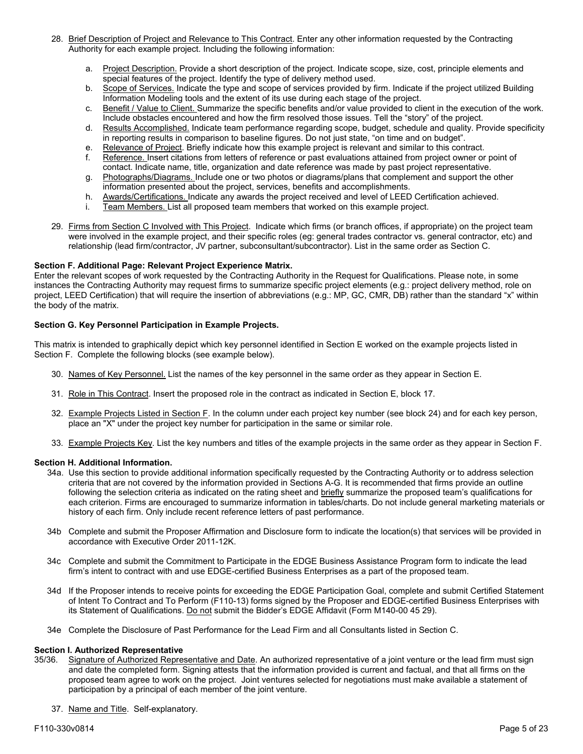- 28. Brief Description of Project and Relevance to This Contract. Enter any other information requested by the Contracting Authority for each example project. Including the following information:
	- a. Project Description. Provide a short description of the project. Indicate scope, size, cost, principle elements and special features of the project. Identify the type of delivery method used.
	- b. Scope of Services. Indicate the type and scope of services provided by firm. Indicate if the project utilized Building Information Modeling tools and the extent of its use during each stage of the project.
	- c. Benefit / Value to Client. Summarize the specific benefits and/or value provided to client in the execution of the work. Include obstacles encountered and how the firm resolved those issues. Tell the "story" of the project.
	- d. Results Accomplished. Indicate team performance regarding scope, budget, schedule and quality. Provide specificity in reporting results in comparison to baseline figures. Do not just state, "on time and on budget".
	- e. Relevance of Project. Briefly indicate how this example project is relevant and similar to this contract.
	- f. Reference. Insert citations from letters of reference or past evaluations attained from project owner or point of contact. Indicate name, title, organization and date reference was made by past project representative.
	- g. Photographs/Diagrams. Include one or two photos or diagrams/plans that complement and support the other information presented about the project, services, benefits and accomplishments.
	- h. Awards/Certifications. Indicate any awards the project received and level of LEED Certification achieved.
	- i. Team Members. List all proposed team members that worked on this example project.
- 29. Firms from Section C Involved with This Project. Indicate which firms (or branch offices, if appropriate) on the project team were involved in the example project, and their specific roles (eg: general trades contractor vs. general contractor, etc) and relationship (lead firm/contractor, JV partner, subconsultant/subcontractor). List in the same order as Section C.

#### **Section F. Additional Page: Relevant Project Experience Matrix.**

Enter the relevant scopes of work requested by the Contracting Authority in the Request for Qualifications. Please note, in some instances the Contracting Authority may request firms to summarize specific project elements (e.g.: project delivery method, role on project, LEED Certification) that will require the insertion of abbreviations (e.g.: MP, GC, CMR, DB) rather than the standard "x" within the body of the matrix.

#### **Section G. Key Personnel Participation in Example Projects.**

This matrix is intended to graphically depict which key personnel identified in Section E worked on the example projects listed in Section F. Complete the following blocks (see example below).

- 30. Names of Key Personnel. List the names of the key personnel in the same order as they appear in Section E.
- 31. Role in This Contract. Insert the proposed role in the contract as indicated in Section E, block 17.
- 32. Example Projects Listed in Section F. In the column under each project key number (see block 24) and for each key person, place an "X" under the project key number for participation in the same or similar role.
- 33. Example Projects Key. List the key numbers and titles of the example projects in the same order as they appear in Section F.

#### **Section H. Additional Information.**

- 34a. Use this section to provide additional information specifically requested by the Contracting Authority or to address selection criteria that are not covered by the information provided in Sections A-G. It is recommended that firms provide an outline following the selection criteria as indicated on the rating sheet and briefly summarize the proposed team's qualifications for each criterion. Firms are encouraged to summarize information in tables/charts. Do not include general marketing materials or history of each firm. Only include recent reference letters of past performance.
- 34b Complete and submit the Proposer Affirmation and Disclosure form to indicate the location(s) that services will be provided in accordance with Executive Order 2011-12K.
- 34c Complete and submit the Commitment to Participate in the EDGE Business Assistance Program form to indicate the lead firm's intent to contract with and use EDGE-certified Business Enterprises as a part of the proposed team.
- 34d If the Proposer intends to receive points for exceeding the EDGE Participation Goal, complete and submit Certified Statement of Intent To Contract and To Perform (F110-13) forms signed by the Proposer and EDGE-certified Business Enterprises with its Statement of Qualifications. Do not submit the Bidder's EDGE Affidavit (Form M140-00 45 29).
- 34e Complete the Disclosure of Past Performance for the Lead Firm and all Consultants listed in Section C.

#### **Section I. Authorized Representative**

- 35/36. Signature of Authorized Representative and Date. An authorized representative of a joint venture or the lead firm must sign and date the completed form. Signing attests that the information provided is current and factual, and that all firms on the proposed team agree to work on the project. Joint ventures selected for negotiations must make available a statement of participation by a principal of each member of the joint venture.
	- 37. Name and Title. Self-explanatory.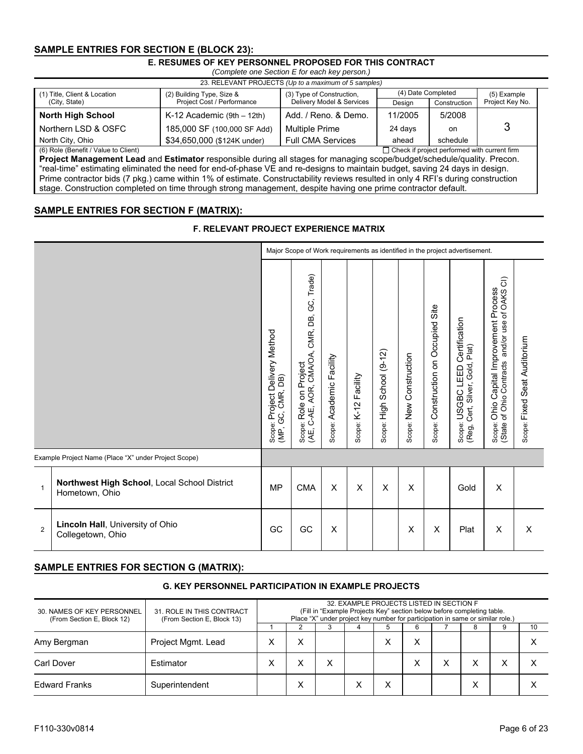### **SAMPLE ENTRIES FOR SECTION E (BLOCK 23):**

### **E. RESUMES OF KEY PERSONNEL PROPOSED FOR THIS CONTRACT**

| (Complete one Section E for each key person.) |  |
|-----------------------------------------------|--|
|-----------------------------------------------|--|

| 23. RELEVANT PROJECTS (Up to a maximum of 5 samples)                                                                             |                                |                           |                    |                                                     |                 |  |
|----------------------------------------------------------------------------------------------------------------------------------|--------------------------------|---------------------------|--------------------|-----------------------------------------------------|-----------------|--|
| (1) Title, Client & Location                                                                                                     | (2) Building Type, Size &      | (3) Type of Construction, | (4) Date Completed | (5) Example                                         |                 |  |
| (City, State)                                                                                                                    | Project Cost / Performance     | Delivery Model & Services | Design             | Construction                                        | Project Key No. |  |
| <b>North High School</b>                                                                                                         | $K-12$ Academic (9th $-12$ th) | Add. / Reno. & Demo.      | 11/2005            | 5/2008                                              |                 |  |
| Northern LSD & OSFC                                                                                                              | 185,000 SF (100,000 SF Add)    | <b>Multiple Prime</b>     | 24 days            | on                                                  |                 |  |
| North City, Ohio                                                                                                                 | \$34,650,000 (\$124K under)    | <b>Full CMA Services</b>  | ahead              | schedule                                            |                 |  |
| (6) Role (Benefit / Value to Client)                                                                                             |                                |                           |                    | $\Box$ Check if project performed with current firm |                 |  |
| Project Management Lead and Estimator responsible during all stages for managing scope/budget/schedule/quality. Precon.          |                                |                           |                    |                                                     |                 |  |
| "real-time" estimating eliminated the need for end-of-phase VE and re-designs to maintain budget, saving 24 days in design.      |                                |                           |                    |                                                     |                 |  |
| Prime contractor bids (7 pkg.) came within 1% of estimate. Constructability reviews resulted in only 4 RFI's during construction |                                |                           |                    |                                                     |                 |  |
| stage. Construction completed on time through strong management, despite having one prime contractor default.                    |                                |                           |                    |                                                     |                 |  |

### **SAMPLE ENTRIES FOR SECTION F (MATRIX):**

#### **F. RELEVANT PROJECT EXPERIENCE MATRIX**

|                |                                                                | Major Scope of Work requirements as identified in the project advertisement. |                                                                                             |                             |                         |                                 |                            |                                                              |                                                                               |                                                                                                                   |                              |
|----------------|----------------------------------------------------------------|------------------------------------------------------------------------------|---------------------------------------------------------------------------------------------|-----------------------------|-------------------------|---------------------------------|----------------------------|--------------------------------------------------------------|-------------------------------------------------------------------------------|-------------------------------------------------------------------------------------------------------------------|------------------------------|
|                |                                                                | <sub>Scope:</sub> Project Delivery Method<br>(MP, GC, CMR, DB)               | Trade)<br>GC,<br>DB,<br>CMR,<br>AOR, CMA/OA,<br>on Project<br>Scope: Role o<br>(AE, C-AE, A | Facility<br>Scope: Academic | Facility<br>Scope: K-12 | School (9-12)<br>High<br>Scope: | Construction<br>Scope: New | Site<br>Occupied<br>$\overline{5}$<br>Construction<br>Scope: | Certification<br>Gold, Plat)<br>Scope: USGBC LEED<br>(Reg, Cert, Silver, Gold | $\widehat{\sigma}$<br>Scope: Ohio Capital Improvement Process<br>of OAKS<br>and/or use<br>State of Ohio Contracts | Scope: Fixed Seat Auditorium |
|                | Example Project Name (Place "X" under Project Scope)           |                                                                              |                                                                                             |                             |                         |                                 |                            |                                                              |                                                                               |                                                                                                                   |                              |
| $\overline{1}$ | Northwest High School, Local School District<br>Hometown, Ohio | <b>MP</b>                                                                    | <b>CMA</b>                                                                                  | X                           | X                       | X                               | X                          |                                                              | Gold                                                                          | X                                                                                                                 |                              |
| 2              | Lincoln Hall, University of Ohio<br>Collegetown, Ohio          | GC                                                                           | GC                                                                                          | X                           |                         |                                 | X                          | X                                                            | Plat                                                                          | X                                                                                                                 | X                            |

### **SAMPLE ENTRIES FOR SECTION G (MATRIX):**

#### **G. KEY PERSONNEL PARTICIPATION IN EXAMPLE PROJECTS**

| 30. NAMES OF KEY PERSONNEL<br>(From Section E, Block 12) | 31. ROLE IN THIS CONTRACT<br>(From Section E, Block 13) | 32. EXAMPLE PROJECTS LISTED IN SECTION F<br>(Fill in "Example Projects Key" section below before completing table.<br>Place "X" under project key number for participation in same or similar role.) |                   |   |  |   |        |  |   |   |             |
|----------------------------------------------------------|---------------------------------------------------------|------------------------------------------------------------------------------------------------------------------------------------------------------------------------------------------------------|-------------------|---|--|---|--------|--|---|---|-------------|
|                                                          |                                                         |                                                                                                                                                                                                      |                   |   |  |   |        |  |   |   | 10          |
| Amy Bergman                                              | Project Mgmt. Lead                                      | Χ                                                                                                                                                                                                    | $\checkmark$<br>⋏ |   |  | v | v<br>́ |  |   |   | $\check{ }$ |
| <b>Carl Dover</b>                                        | Estimator                                               | Χ                                                                                                                                                                                                    | ↗                 | v |  |   | ↗      |  | X | х | Χ           |
| <b>Edward Franks</b>                                     | Superintendent                                          |                                                                                                                                                                                                      | ⋏                 |   |  | ⋏ |        |  | ⋏ |   |             |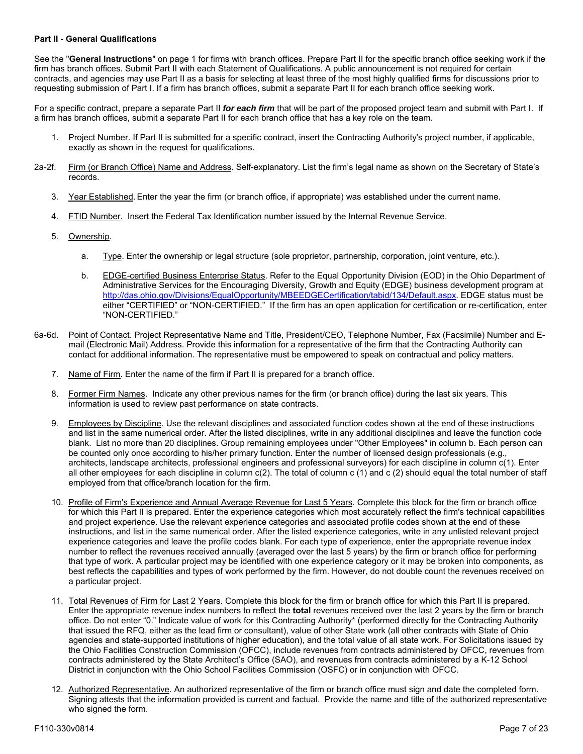#### **Part II - General Qualifications**

See the "**General Instructions**" on page 1 for firms with branch offices. Prepare Part II for the specific branch office seeking work if the firm has branch offices. Submit Part II with each Statement of Qualifications. A public announcement is not required for certain contracts, and agencies may use Part II as a basis for selecting at least three of the most highly qualified firms for discussions prior to requesting submission of Part I. If a firm has branch offices, submit a separate Part II for each branch office seeking work.

For a specific contract, prepare a separate Part II *for each firm* that will be part of the proposed project team and submit with Part I. If a firm has branch offices, submit a separate Part II for each branch office that has a key role on the team.

- 1. Project Number. If Part II is submitted for a specific contract, insert the Contracting Authority's project number, if applicable, exactly as shown in the request for qualifications.
- 2a-2f. Firm (or Branch Office) Name and Address. Self-explanatory. List the firm's legal name as shown on the Secretary of State's records.
	- 3. Year Established. Enter the year the firm (or branch office, if appropriate) was established under the current name.
	- 4. FTID Number. Insert the Federal Tax Identification number issued by the Internal Revenue Service.
	- 5. Ownership.
		- a. Type. Enter the ownership or legal structure (sole proprietor, partnership, corporation, joint venture, etc.).
		- b. EDGE-certified Business Enterprise Status. Refer to the Equal Opportunity Division (EOD) in the Ohio Department of Administrative Services for the Encouraging Diversity, Growth and Equity (EDGE) business development program at http://das.ohio.gov/Divisions/EqualOpportunity/MBEEDGECertification/tabid/134/Default.aspx. EDGE status must be either "CERTIFIED" or "NON-CERTIFIED." If the firm has an open application for certification or re-certification, enter "NON-CERTIFIED."
- 6a-6d. Point of Contact. Project Representative Name and Title, President/CEO, Telephone Number, Fax (Facsimile) Number and Email (Electronic Mail) Address. Provide this information for a representative of the firm that the Contracting Authority can contact for additional information. The representative must be empowered to speak on contractual and policy matters.
	- 7. Name of Firm. Enter the name of the firm if Part II is prepared for a branch office.
	- 8. Former Firm Names. Indicate any other previous names for the firm (or branch office) during the last six years. This information is used to review past performance on state contracts.
	- 9. Employees by Discipline. Use the relevant disciplines and associated function codes shown at the end of these instructions and list in the same numerical order. After the listed disciplines, write in any additional disciplines and leave the function code blank. List no more than 20 disciplines. Group remaining employees under "Other Employees" in column b. Each person can be counted only once according to his/her primary function. Enter the number of licensed design professionals (e.g., architects, landscape architects, professional engineers and professional surveyors) for each discipline in column c(1). Enter all other employees for each discipline in column c(2). The total of column c (1) and c (2) should equal the total number of staff employed from that office/branch location for the firm.
	- 10. Profile of Firm's Experience and Annual Average Revenue for Last 5 Years. Complete this block for the firm or branch office for which this Part II is prepared. Enter the experience categories which most accurately reflect the firm's technical capabilities and project experience. Use the relevant experience categories and associated profile codes shown at the end of these instructions, and list in the same numerical order. After the listed experience categories, write in any unlisted relevant project experience categories and leave the profile codes blank. For each type of experience, enter the appropriate revenue index number to reflect the revenues received annually (averaged over the last 5 years) by the firm or branch office for performing that type of work. A particular project may be identified with one experience category or it may be broken into components, as best reflects the capabilities and types of work performed by the firm. However, do not double count the revenues received on a particular project.
	- 11. Total Revenues of Firm for Last 2 Years. Complete this block for the firm or branch office for which this Part II is prepared. Enter the appropriate revenue index numbers to reflect the **total** revenues received over the last 2 years by the firm or branch office. Do not enter "0." Indicate value of work for this Contracting Authority\* (performed directly for the Contracting Authority that issued the RFQ, either as the lead firm or consultant), value of other State work (all other contracts with State of Ohio agencies and state-supported institutions of higher education), and the total value of all state work. For Solicitations issued by the Ohio Facilities Construction Commission (OFCC), include revenues from contracts administered by OFCC, revenues from contracts administered by the State Architect's Office (SAO), and revenues from contracts administered by a K-12 School District in conjunction with the Ohio School Facilities Commission (OSFC) or in conjunction with OFCC.
	- 12. Authorized Representative. An authorized representative of the firm or branch office must sign and date the completed form. Signing attests that the information provided is current and factual. Provide the name and title of the authorized representative who signed the form.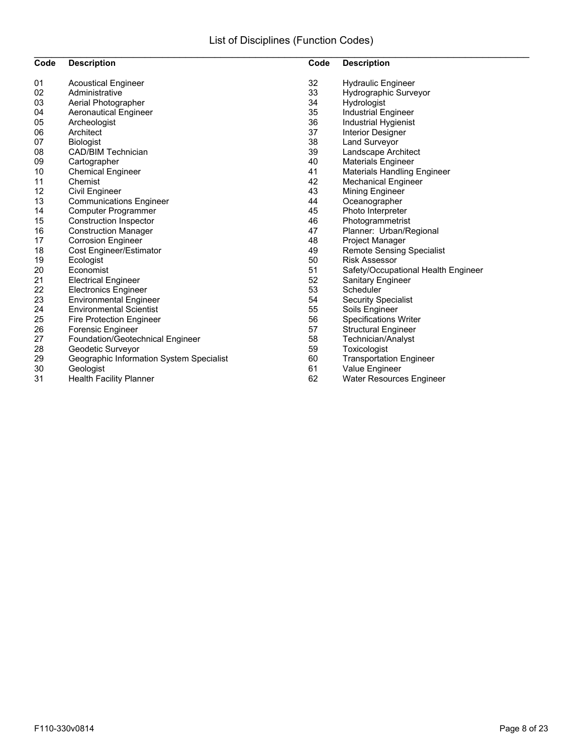| Code | <b>Description</b>                       | Code | <b>Description</b>                  |
|------|------------------------------------------|------|-------------------------------------|
| 01   | <b>Acoustical Engineer</b>               | 32   | <b>Hydraulic Engineer</b>           |
| 02   | Administrative                           | 33   | Hydrographic Surveyor               |
| 03   | Aerial Photographer                      | 34   | Hydrologist                         |
| 04   | Aeronautical Engineer                    | 35   | <b>Industrial Engineer</b>          |
| 05   | Archeologist                             | 36   | Industrial Hygienist                |
| 06   | Architect                                | 37   | <b>Interior Designer</b>            |
| 07   | <b>Biologist</b>                         | 38   | <b>Land Surveyor</b>                |
| 08   | <b>CAD/BIM Technician</b>                | 39   | Landscape Architect                 |
| 09   | Cartographer                             | 40   | <b>Materials Engineer</b>           |
| 10   | <b>Chemical Engineer</b>                 | 41   | <b>Materials Handling Engineer</b>  |
| 11   | Chemist                                  | 42   | <b>Mechanical Engineer</b>          |
| 12   | Civil Engineer                           | 43   | <b>Mining Engineer</b>              |
| 13   | <b>Communications Engineer</b>           | 44   | Oceanographer                       |
| 14   | <b>Computer Programmer</b>               | 45   | Photo Interpreter                   |
| 15   | <b>Construction Inspector</b>            | 46   | Photogrammetrist                    |
| 16   | <b>Construction Manager</b>              | 47   | Planner: Urban/Regional             |
| 17   | <b>Corrosion Engineer</b>                | 48   | Project Manager                     |
| 18   | Cost Engineer/Estimator                  | 49   | <b>Remote Sensing Specialist</b>    |
| 19   | Ecologist                                | 50   | <b>Risk Assessor</b>                |
| 20   | Economist                                | 51   | Safety/Occupational Health Engineer |
| 21   | <b>Electrical Engineer</b>               | 52   | Sanitary Engineer                   |
| 22   | <b>Electronics Engineer</b>              | 53   | Scheduler                           |
| 23   | <b>Environmental Engineer</b>            | 54   | <b>Security Specialist</b>          |
| 24   | <b>Environmental Scientist</b>           | 55   | Soils Engineer                      |
| 25   | <b>Fire Protection Engineer</b>          | 56   | <b>Specifications Writer</b>        |
| 26   | Forensic Engineer                        | 57   | <b>Structural Engineer</b>          |
| 27   | Foundation/Geotechnical Engineer         | 58   | Technician/Analyst                  |
| 28   | Geodetic Surveyor                        | 59   | Toxicologist                        |
| 29   | Geographic Information System Specialist | 60   | <b>Transportation Engineer</b>      |
| 30   | Geologist                                | 61   | Value Engineer                      |
| 31   | <b>Health Facility Planner</b>           | 62   | Water Resources Engineer            |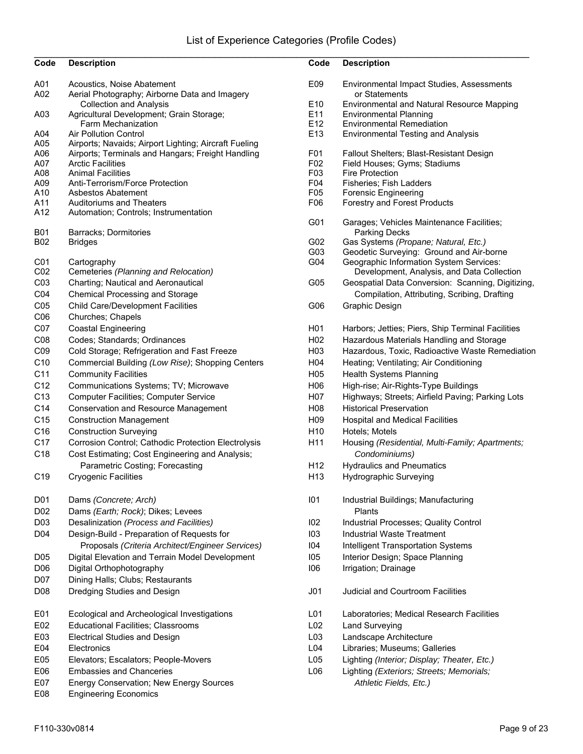**Code Description Code Description** 

\_\_\_\_\_\_\_\_\_\_\_\_\_\_\_\_\_\_\_\_\_\_\_\_\_\_\_\_\_\_\_\_\_\_\_\_\_\_\_\_\_\_\_\_\_\_\_\_\_\_\_\_\_\_\_\_\_\_\_\_\_\_\_\_\_\_\_\_\_\_\_\_\_\_\_\_\_\_\_\_\_\_\_\_\_

| Code            | <b>Description</b>                                    | Code                   | <b>Description</b>                                     |
|-----------------|-------------------------------------------------------|------------------------|--------------------------------------------------------|
| A01             | Acoustics, Noise Abatement                            | E09                    | Environmental Impact Studies, Assessments              |
| A02             | Aerial Photography; Airborne Data and Imagery         |                        | or Statements                                          |
|                 | <b>Collection and Analysis</b>                        | E <sub>10</sub>        | <b>Environmental and Natural Resource Mapping</b>      |
| A03             | Agricultural Development; Grain Storage;              | E11                    | <b>Environmental Planning</b>                          |
|                 | Farm Mechanization                                    | E <sub>12</sub>        | <b>Environmental Remediation</b>                       |
| A04             | <b>Air Pollution Control</b>                          | E <sub>13</sub>        | <b>Environmental Testing and Analysis</b>              |
| A05             | Airports; Navaids; Airport Lighting; Aircraft Fueling |                        |                                                        |
| A06             | Airports; Terminals and Hangars; Freight Handling     | F01                    | Fallout Shelters; Blast-Resistant Design               |
| A07             | <b>Arctic Facilities</b>                              | F <sub>02</sub>        | Field Houses; Gyms; Stadiums                           |
| A08             | <b>Animal Facilities</b>                              | F03                    | <b>Fire Protection</b>                                 |
| A09<br>A10      | Anti-Terrorism/Force Protection<br>Asbestos Abatement | F04<br>F <sub>05</sub> | Fisheries; Fish Ladders<br><b>Forensic Engineering</b> |
| A11             | <b>Auditoriums and Theaters</b>                       | F06                    | Forestry and Forest Products                           |
| A12             | Automation; Controls; Instrumentation                 |                        |                                                        |
|                 |                                                       | G01                    | Garages; Vehicles Maintenance Facilities;              |
| <b>B01</b>      | Barracks; Dormitories                                 |                        | <b>Parking Decks</b>                                   |
| <b>B02</b>      | <b>Bridges</b>                                        | G02                    | Gas Systems (Propane; Natural, Etc.)                   |
|                 |                                                       | G03                    | Geodetic Surveying: Ground and Air-borne               |
| CO <sub>1</sub> | Cartography                                           | G04                    | Geographic Information System Services:                |
| CO <sub>2</sub> | Cemeteries (Planning and Relocation)                  |                        | Development, Analysis, and Data Collection             |
| CO <sub>3</sub> | Charting; Nautical and Aeronautical                   | G05                    | Geospatial Data Conversion: Scanning, Digitizing,      |
| CO <sub>4</sub> | <b>Chemical Processing and Storage</b>                |                        | Compilation, Attributing, Scribing, Drafting           |
| C <sub>05</sub> | <b>Child Care/Development Facilities</b>              | G06                    | Graphic Design                                         |
| C <sub>06</sub> | Churches; Chapels                                     |                        |                                                        |
| CO <sub>7</sub> | <b>Coastal Engineering</b>                            | H <sub>0</sub> 1       | Harbors; Jetties; Piers, Ship Terminal Facilities      |
| C <sub>08</sub> | Codes; Standards; Ordinances                          | H <sub>02</sub>        | Hazardous Materials Handling and Storage               |
| CO <sub>9</sub> | Cold Storage; Refrigeration and Fast Freeze           | H <sub>03</sub>        | Hazardous, Toxic, Radioactive Waste Remediation        |
| C <sub>10</sub> | Commercial Building (Low Rise); Shopping Centers      | H <sub>04</sub>        | Heating; Ventilating; Air Conditioning                 |
| C <sub>11</sub> | <b>Community Facilities</b>                           | H <sub>05</sub>        | Health Systems Planning                                |
| C <sub>12</sub> | Communications Systems; TV; Microwave                 | H <sub>06</sub>        | High-rise; Air-Rights-Type Buildings                   |
| C <sub>13</sub> |                                                       | H <sub>0</sub> 7       |                                                        |
|                 | <b>Computer Facilities; Computer Service</b>          |                        | Highways; Streets; Airfield Paving; Parking Lots       |
| C14             | <b>Conservation and Resource Management</b>           | H <sub>08</sub>        | <b>Historical Preservation</b>                         |
| C <sub>15</sub> | <b>Construction Management</b>                        | H <sub>09</sub>        | <b>Hospital and Medical Facilities</b>                 |
| C <sub>16</sub> | <b>Construction Surveying</b>                         | H <sub>10</sub>        | Hotels; Motels                                         |
| C <sub>17</sub> | Corrosion Control; Cathodic Protection Electrolysis   | H11                    | Housing (Residential, Multi-Family; Apartments;        |
| C <sub>18</sub> | Cost Estimating; Cost Engineering and Analysis;       |                        | Condominiums)                                          |
|                 | Parametric Costing; Forecasting                       | H <sub>12</sub>        | <b>Hydraulics and Pneumatics</b>                       |
| C <sub>19</sub> | <b>Cryogenic Facilities</b>                           | H <sub>13</sub>        | <b>Hydrographic Surveying</b>                          |
| D01             | Dams (Concrete; Arch)                                 | 101                    | Industrial Buildings; Manufacturing                    |
| D <sub>02</sub> | Dams (Earth; Rock); Dikes; Levees                     |                        | Plants                                                 |
| D <sub>03</sub> | Desalinization (Process and Facilities)               | 102                    | Industrial Processes; Quality Control                  |
| D <sub>04</sub> | Design-Build - Preparation of Requests for            | 103                    | Industrial Waste Treatment                             |
|                 | Proposals (Criteria Architect/Engineer Services)      | 104                    | Intelligent Transportation Systems                     |
| D <sub>05</sub> | Digital Elevation and Terrain Model Development       | 105                    | Interior Design; Space Planning                        |
| D <sub>06</sub> | Digital Orthophotography                              | 106                    | Irrigation; Drainage                                   |
| D07             | Dining Halls; Clubs; Restaurants                      |                        |                                                        |
| D <sub>08</sub> | Dredging Studies and Design                           | J <sub>01</sub>        | Judicial and Courtroom Facilities                      |
|                 |                                                       |                        |                                                        |
| E01             | Ecological and Archeological Investigations           | L <sub>01</sub>        | Laboratories; Medical Research Facilities              |
| E02             | <b>Educational Facilities; Classrooms</b>             | L <sub>02</sub>        | <b>Land Surveying</b>                                  |
| E03             | <b>Electrical Studies and Design</b>                  | L <sub>03</sub>        | Landscape Architecture                                 |
| E04             | Electronics                                           | L04                    | Libraries; Museums; Galleries                          |
| E05             | Elevators; Escalators; People-Movers                  | L05                    | Lighting (Interior; Display; Theater, Etc.)            |
| E06             | <b>Embassies and Chanceries</b>                       | L06                    | Lighting (Exteriors; Streets; Memorials;               |
| E07             | Energy Conservation; New Energy Sources               |                        | Athletic Fields, Etc.)                                 |
| E08             | <b>Engineering Economics</b>                          |                        |                                                        |

| Environmental and Natural Resource Mapping        |
|---------------------------------------------------|
|                                                   |
|                                                   |
|                                                   |
|                                                   |
|                                                   |
|                                                   |
|                                                   |
|                                                   |
|                                                   |
|                                                   |
|                                                   |
|                                                   |
|                                                   |
|                                                   |
| Development, Analysis, and Data Collection        |
| Geospatial Data Conversion: Scanning, Digitizing  |
|                                                   |
|                                                   |
| Harbors; Jetties; Piers, Ship Terminal Facilities |
|                                                   |
| Hazardous, Toxic, Radioactive Waste Remediatio    |
|                                                   |
|                                                   |
|                                                   |
| Highways; Streets; Airfield Paving; Parking Lots  |
|                                                   |
|                                                   |
|                                                   |
| Housing (Residential, Multi-Family; Apartments;   |
|                                                   |
|                                                   |
|                                                   |
|                                                   |
|                                                   |
|                                                   |
|                                                   |
|                                                   |
|                                                   |
|                                                   |
|                                                   |
|                                                   |
|                                                   |
|                                                   |
| Compilation, Attributing, Scribing, Drafting      |

- L04 Libraries; Museums; Galleries
- L05 Lighting *(Interior; Display; Theater, Etc.)*
- L06 Lighting *(Exteriors; Streets; Memorials;* Athletic Fields, Etc.)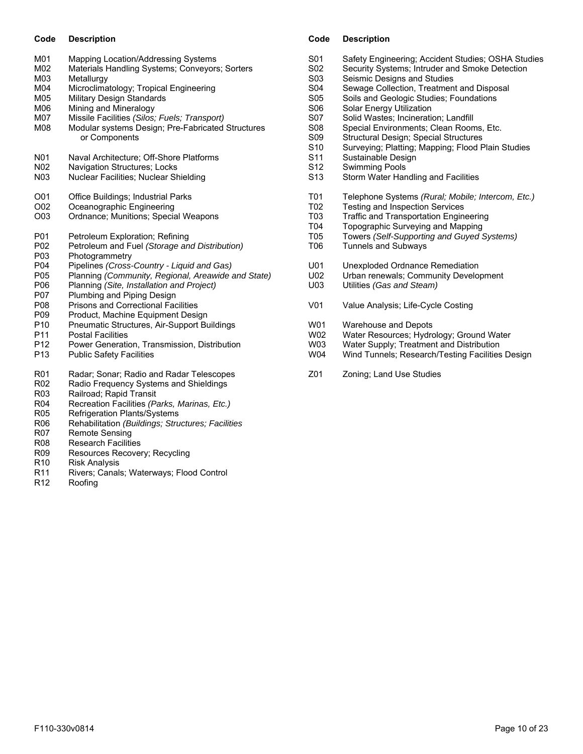#### **Code Description Code Description**

| M01<br>M02<br>M03<br>M04<br>M05<br>M06<br>M07<br>M08 | Mapping Location/Addressing Systems<br>Materials Handling Systems; Conveyors; Sorters<br>Metallurgy<br>Microclimatology; Tropical Engineering<br><b>Military Design Standards</b><br>Mining and Mineralogy<br>Missile Facilities (Silos; Fuels; Transport)<br>Modular systems Design; Pre-Fabricated Structures<br>or Components |
|------------------------------------------------------|----------------------------------------------------------------------------------------------------------------------------------------------------------------------------------------------------------------------------------------------------------------------------------------------------------------------------------|
| N <sub>0</sub> 1                                     | Naval Architecture; Off-Shore Platforms                                                                                                                                                                                                                                                                                          |
| N <sub>02</sub>                                      | Navigation Structures; Locks                                                                                                                                                                                                                                                                                                     |
| N <sub>0</sub> 3                                     | Nuclear Facilities; Nuclear Shielding                                                                                                                                                                                                                                                                                            |
| O01                                                  | Office Buildings; Industrial Parks                                                                                                                                                                                                                                                                                               |
| O02                                                  | Oceanographic Engineering                                                                                                                                                                                                                                                                                                        |
| O03                                                  | Ordnance; Munitions; Special Weapons                                                                                                                                                                                                                                                                                             |
| P01                                                  | Petroleum Exploration; Refining                                                                                                                                                                                                                                                                                                  |
| P <sub>02</sub>                                      | Petroleum and Fuel (Storage and Distribution)                                                                                                                                                                                                                                                                                    |
| P03                                                  | Photogrammetry                                                                                                                                                                                                                                                                                                                   |
| P04                                                  | Pipelines (Cross-Country - Liquid and Gas)                                                                                                                                                                                                                                                                                       |
| P <sub>05</sub>                                      | Planning (Community, Regional, Areawide and State)                                                                                                                                                                                                                                                                               |
| P06                                                  | Planning (Site, Installation and Project)                                                                                                                                                                                                                                                                                        |
| P07                                                  | Plumbing and Piping Design                                                                                                                                                                                                                                                                                                       |
| P <sub>08</sub>                                      | <b>Prisons and Correctional Facilities</b>                                                                                                                                                                                                                                                                                       |
| P <sub>09</sub>                                      | Product, Machine Equipment Design                                                                                                                                                                                                                                                                                                |
| P <sub>10</sub>                                      | Pneumatic Structures, Air-Support Buildings                                                                                                                                                                                                                                                                                      |
| P <sub>11</sub>                                      | <b>Postal Facilities</b>                                                                                                                                                                                                                                                                                                         |
| P <sub>12</sub>                                      | Power Generation, Transmission, Distribution                                                                                                                                                                                                                                                                                     |
| P <sub>13</sub>                                      | <b>Public Safety Facilities</b>                                                                                                                                                                                                                                                                                                  |
| R <sub>01</sub>                                      | Radar; Sonar; Radio and Radar Telescopes                                                                                                                                                                                                                                                                                         |
| R <sub>02</sub>                                      | Radio Frequency Systems and Shieldings                                                                                                                                                                                                                                                                                           |
| R <sub>03</sub>                                      | Railroad; Rapid Transit                                                                                                                                                                                                                                                                                                          |
| R <sub>04</sub>                                      | Recreation Facilities (Parks, Marinas, Etc.)                                                                                                                                                                                                                                                                                     |
| <b>R05</b>                                           | <b>Refrigeration Plants/Systems</b>                                                                                                                                                                                                                                                                                              |
| R <sub>06</sub>                                      | Rehabilitation (Buildings; Structures; Facilities                                                                                                                                                                                                                                                                                |
| R <sub>0</sub> 7                                     | <b>Remote Sensing</b>                                                                                                                                                                                                                                                                                                            |
| <b>R08</b>                                           | <b>Research Facilities</b>                                                                                                                                                                                                                                                                                                       |
| ∩∩ם                                                  | Pocources Pecouary: Pocuelina                                                                                                                                                                                                                                                                                                    |

- R09 Resources Recovery; Recycling
- R10 Risk Analysis
- R11 Rivers; Canals; Waterways; Flood Control
- R12 Roofing

- S01 Safety Engineering; Accident Studies; OSHA Studies<br>S02 Security Systems; Intruder and Smoke Detection
- S02 Security Systems; Intruder and Smoke Detection<br>S03 Seismic Designs and Studies
- S03 Seismic Designs and Studies<br>S04 Sewage Collection. Treatmen
- Sewage Collection, Treatment and Disposal
- S05 Soils and Geologic Studies; Foundations
- S06 Solar Energy Utilization
- S07 Solid Wastes; Incineration; Landfill
- S08 Special Environments; Clean Rooms, Etc.
- S09 Structural Design; Special Structures
- S10 Surveying; Platting; Mapping; Flood Plain Studies
- S11 Sustainable Design<br>S12 Swimming Pools
- Swimming Pools
- S13 Storm Water Handling and Facilities
- T01 Telephone Systems (Rural; Mobile; Intercom, Etc.)<br>T02 Testing and Inspection Services
- Testing and Inspection Services
- T03 Traffic and Transportation Engineering
- T04 Topographic Surveying and Mapping
- T05 Towers *(Self-Supporting and Guyed Systems)*
- T06 Tunnels and Subways
- 
- **Vai Pipelines Unexploded Ordnance Remediation<br>
Unity Lippeline Community Develorum** U02 Urban renewals; Community Development<br>U03 Utilities *(Gas and Steam)*
- **Utilities** *(Gas and Steam)*
- V01 Value Analysis; Life-Cycle Costing
- W01 Warehouse and Depots<br>W02 Water Resources: Hydre
- W02 Water Resources; Hydrology; Ground Water<br>W03 Water Supply: Treatment and Distribution
- Water Supply; Treatment and Distribution
- W04 Wind Tunnels; Research/Testing Facilities Design
- Z01 Zoning; Land Use Studies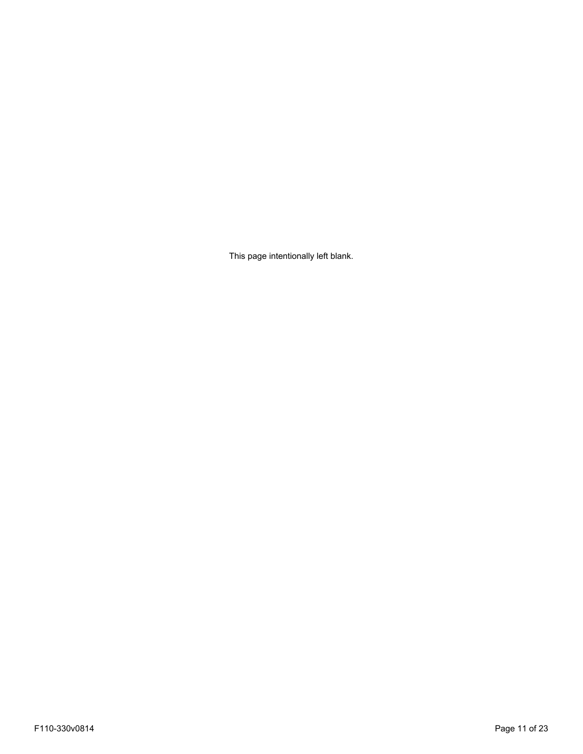This page intentionally left blank.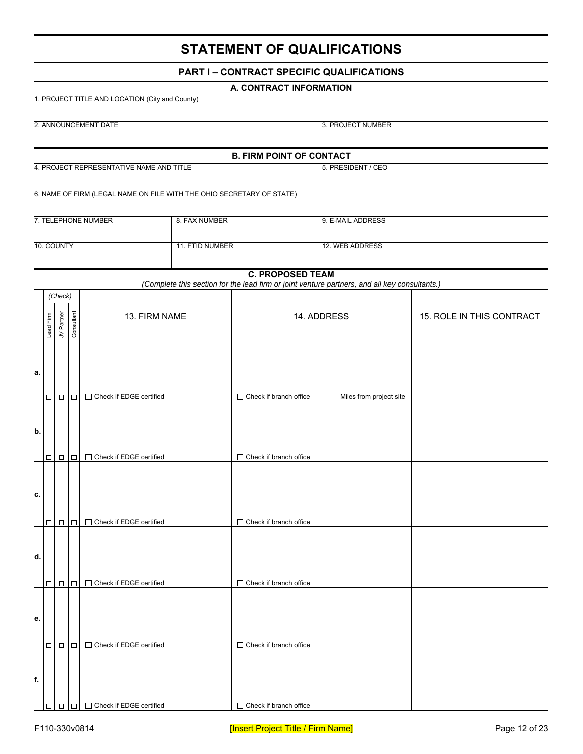# **STATEMENT OF QUALIFICATIONS**

### **PART I – CONTRACT SPECIFIC QUALIFICATIONS**

### **A. CONTRACT INFORMATION**

|    |           |                 |            | 1. PROJECT TITLE AND LOCATION (City and County)                       |                 |                                 |                                                                                               |                           |
|----|-----------|-----------------|------------|-----------------------------------------------------------------------|-----------------|---------------------------------|-----------------------------------------------------------------------------------------------|---------------------------|
|    |           |                 |            | 2. ANNOUNCEMENT DATE                                                  |                 |                                 | 3. PROJECT NUMBER                                                                             |                           |
|    |           |                 |            |                                                                       |                 | <b>B. FIRM POINT OF CONTACT</b> |                                                                                               |                           |
|    |           |                 |            | 4. PROJECT REPRESENTATIVE NAME AND TITLE                              |                 |                                 | 5. PRESIDENT / CEO                                                                            |                           |
|    |           |                 |            | 6. NAME OF FIRM (LEGAL NAME ON FILE WITH THE OHIO SECRETARY OF STATE) |                 |                                 |                                                                                               |                           |
|    |           |                 |            | 7. TELEPHONE NUMBER                                                   | 8. FAX NUMBER   |                                 | 9. E-MAIL ADDRESS                                                                             |                           |
|    |           | 10. COUNTY      |            |                                                                       | 11. FTID NUMBER |                                 | 12. WEB ADDRESS                                                                               |                           |
|    |           |                 |            |                                                                       |                 | <b>C. PROPOSED TEAM</b>         | (Complete this section for the lead firm or joint venture partners, and all key consultants.) |                           |
|    |           | (Check)         |            |                                                                       |                 |                                 |                                                                                               |                           |
|    | Lead Firm | JV Partner      | Consultant | 13. FIRM NAME                                                         |                 |                                 | 14. ADDRESS                                                                                   | 15. ROLE IN THIS CONTRACT |
|    |           |                 |            |                                                                       |                 |                                 |                                                                                               |                           |
| a. |           |                 |            |                                                                       |                 |                                 |                                                                                               |                           |
|    | $\Box$    | $\Box   \Box  $ |            | Check if EDGE certified                                               |                 | $\Box$ Check if branch office   | Miles from project site                                                                       |                           |
|    |           |                 |            |                                                                       |                 |                                 |                                                                                               |                           |
| b. |           |                 |            |                                                                       |                 |                                 |                                                                                               |                           |
|    | $\Box$    | $\Box$          | $\Box$     | Check if EDGE certified                                               |                 | $\Box$ Check if branch office   |                                                                                               |                           |
|    |           |                 |            |                                                                       |                 |                                 |                                                                                               |                           |
| c. |           |                 |            |                                                                       |                 |                                 |                                                                                               |                           |
|    |           |                 |            | $\Box$ $\Box$ $\Box$ Check if EDGE certified                          |                 | Check if branch office          |                                                                                               |                           |
|    |           |                 |            |                                                                       |                 |                                 |                                                                                               |                           |
| d. |           |                 |            |                                                                       |                 |                                 |                                                                                               |                           |
|    | $\Box$    | $\Box$          | $\Box$     | □ Check if EDGE certified                                             |                 | Check if branch office          |                                                                                               |                           |
| е. |           |                 |            |                                                                       |                 |                                 |                                                                                               |                           |
|    |           |                 |            |                                                                       |                 |                                 |                                                                                               |                           |
|    | $\Box$    | $\Box$          | $\Box$     | Check if EDGE certified                                               |                 | $\Box$ Check if branch office   |                                                                                               |                           |
| f. |           |                 |            |                                                                       |                 |                                 |                                                                                               |                           |
|    | □         | □               | $\Box$     | □ Check if EDGE certified                                             |                 | Check if branch office          |                                                                                               |                           |
|    |           |                 |            |                                                                       |                 |                                 |                                                                                               |                           |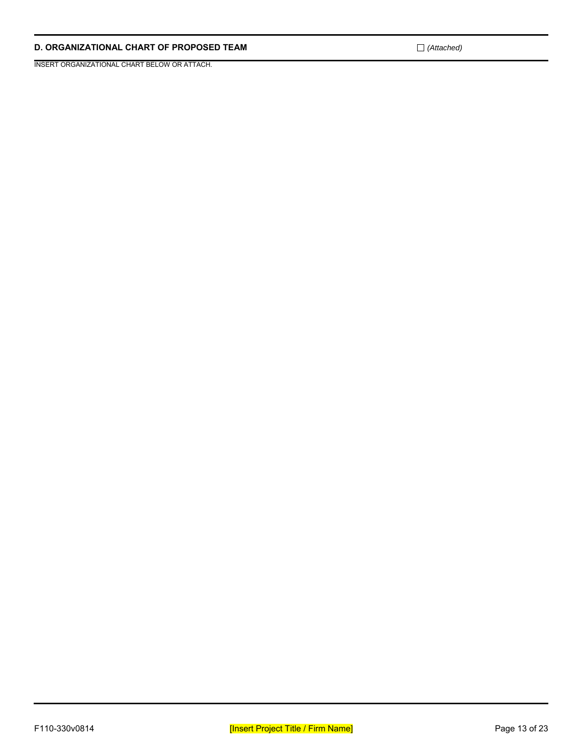## **D. ORGANIZATIONAL CHART OF PROPOSED TEAM** *CHART OF PROPOSED TEAM CHART OF PROPOSED TEAM*

INSERT ORGANIZATIONAL CHART BELOW OR ATTACH.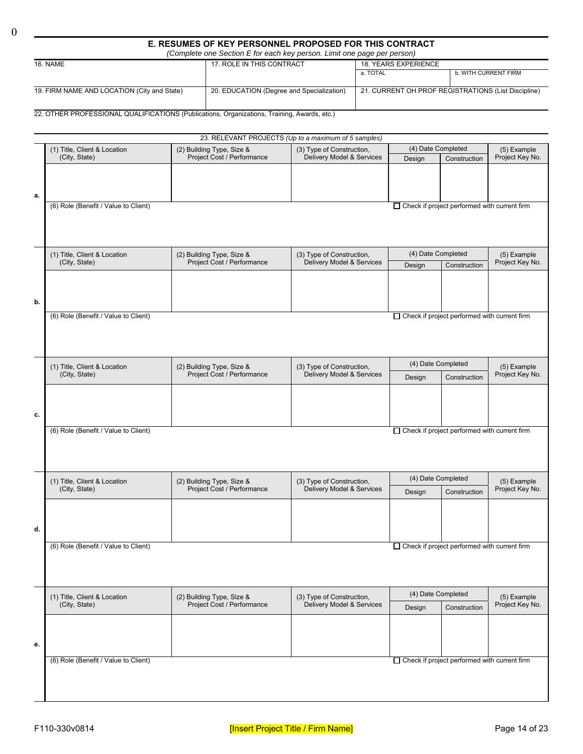**E. RESUMES OF KEY PERSONNEL PROPOSED FOR THIS CONTRACT**  *(Complete one Section E for each key person. Limit one page per person)*  16. NAME 17. ROLE IN THIS CONTRACT 18. YEARS EXPERIENCE a. TOTAL b. WITH CURRENT FIRM 19. FIRM NAME AND LOCATION (City and State) 20. EDUCATION (Degree and Specialization) 21. CURRENT OH PROF REGISTRATIONS (List Discipline)

22. OTHER PROFESSIONAL QUALIFICATIONS (Publications, Organizations, Training, Awards, etc.)

|    | 23. RELEVANT PROJECTS (Up to a maximum of 5 samples) |                                                         |                                                        |                                                     |              |                                |  |  |
|----|------------------------------------------------------|---------------------------------------------------------|--------------------------------------------------------|-----------------------------------------------------|--------------|--------------------------------|--|--|
|    | (1) Title, Client & Location                         | (2) Building Type, Size &                               | (3) Type of Construction,                              | (4) Date Completed                                  |              | (5) Example                    |  |  |
|    | (City, State)                                        | Project Cost / Performance                              | Delivery Model & Services                              | Design                                              | Construction | Project Key No.                |  |  |
|    |                                                      |                                                         |                                                        |                                                     |              |                                |  |  |
|    |                                                      |                                                         |                                                        |                                                     |              |                                |  |  |
|    |                                                      |                                                         |                                                        |                                                     |              |                                |  |  |
| a. |                                                      |                                                         |                                                        |                                                     |              |                                |  |  |
|    | (6) Role (Benefit / Value to Client)                 |                                                         |                                                        | $\Box$ Check if project performed with current firm |              |                                |  |  |
|    |                                                      |                                                         |                                                        |                                                     |              |                                |  |  |
|    |                                                      |                                                         |                                                        |                                                     |              |                                |  |  |
|    |                                                      |                                                         |                                                        |                                                     |              |                                |  |  |
|    |                                                      |                                                         |                                                        |                                                     |              |                                |  |  |
|    |                                                      |                                                         |                                                        | (4) Date Completed                                  |              |                                |  |  |
|    | (1) Title, Client & Location<br>(City, State)        | (2) Building Type, Size &<br>Project Cost / Performance | (3) Type of Construction,<br>Delivery Model & Services |                                                     |              | (5) Example<br>Project Key No. |  |  |
|    |                                                      |                                                         |                                                        | Design                                              | Construction |                                |  |  |
|    |                                                      |                                                         |                                                        |                                                     |              |                                |  |  |
|    |                                                      |                                                         |                                                        |                                                     |              |                                |  |  |
|    |                                                      |                                                         |                                                        |                                                     |              |                                |  |  |
| b. |                                                      |                                                         |                                                        |                                                     |              |                                |  |  |
|    | (6) Role (Benefit / Value to Client)                 |                                                         |                                                        | □ Check if project performed with current firm      |              |                                |  |  |
|    |                                                      |                                                         |                                                        |                                                     |              |                                |  |  |
|    |                                                      |                                                         |                                                        |                                                     |              |                                |  |  |
|    |                                                      |                                                         |                                                        |                                                     |              |                                |  |  |
|    |                                                      |                                                         |                                                        |                                                     |              |                                |  |  |
|    |                                                      |                                                         |                                                        | (4) Date Completed                                  |              |                                |  |  |
|    | (1) Title, Client & Location                         | (2) Building Type, Size &                               | (3) Type of Construction,<br>Delivery Model & Services |                                                     |              | (5) Example                    |  |  |
|    | (City, State)                                        | Project Cost / Performance                              |                                                        | Design                                              | Construction | Project Key No.                |  |  |
|    |                                                      |                                                         |                                                        |                                                     |              |                                |  |  |
|    |                                                      |                                                         |                                                        |                                                     |              |                                |  |  |
|    |                                                      |                                                         |                                                        |                                                     |              |                                |  |  |
| c. |                                                      |                                                         |                                                        |                                                     |              |                                |  |  |
|    |                                                      |                                                         |                                                        |                                                     |              |                                |  |  |
|    | (6) Role (Benefit / Value to Client)                 |                                                         |                                                        | □ Check if project performed with current firm      |              |                                |  |  |
|    |                                                      |                                                         |                                                        |                                                     |              |                                |  |  |
|    |                                                      |                                                         |                                                        |                                                     |              |                                |  |  |
|    |                                                      |                                                         |                                                        |                                                     |              |                                |  |  |
|    |                                                      |                                                         |                                                        |                                                     |              |                                |  |  |
|    | (1) Title, Client & Location                         | (2) Building Type, Size &                               | (3) Type of Construction,                              | (4) Date Completed                                  |              | (5) Example                    |  |  |
|    | (City, State)                                        | Project Cost / Performance                              | Delivery Model & Services                              | Design                                              | Construction | Project Key No.                |  |  |
|    |                                                      |                                                         |                                                        |                                                     |              |                                |  |  |
|    |                                                      |                                                         |                                                        |                                                     |              |                                |  |  |
|    |                                                      |                                                         |                                                        |                                                     |              |                                |  |  |
| d. |                                                      |                                                         |                                                        |                                                     |              |                                |  |  |
|    |                                                      |                                                         |                                                        |                                                     |              |                                |  |  |
|    | (6) Role (Benefit / Value to Client)                 |                                                         |                                                        | $\Box$ Check if project performed with current firm |              |                                |  |  |
|    |                                                      |                                                         |                                                        |                                                     |              |                                |  |  |
|    |                                                      |                                                         |                                                        |                                                     |              |                                |  |  |
|    |                                                      |                                                         |                                                        |                                                     |              |                                |  |  |
|    |                                                      |                                                         |                                                        |                                                     |              |                                |  |  |
|    | (1) Title, Client & Location                         | (2) Building Type, Size &                               | (3) Type of Construction,                              | (4) Date Completed                                  |              | (5) Example                    |  |  |
|    | (City, State)                                        | Project Cost / Performance                              | Delivery Model & Services                              |                                                     |              | Project Key No.                |  |  |
|    |                                                      |                                                         |                                                        | Design                                              | Construction |                                |  |  |
|    |                                                      |                                                         |                                                        |                                                     |              |                                |  |  |
|    |                                                      |                                                         |                                                        |                                                     |              |                                |  |  |
|    |                                                      |                                                         |                                                        |                                                     |              |                                |  |  |
| е. |                                                      |                                                         |                                                        |                                                     |              |                                |  |  |
|    | (6) Role (Benefit / Value to Client)                 |                                                         |                                                        | $\Box$ Check if project performed with current firm |              |                                |  |  |
|    |                                                      |                                                         |                                                        |                                                     |              |                                |  |  |
|    |                                                      |                                                         |                                                        |                                                     |              |                                |  |  |
|    |                                                      |                                                         |                                                        |                                                     |              |                                |  |  |
|    |                                                      |                                                         |                                                        |                                                     |              |                                |  |  |

0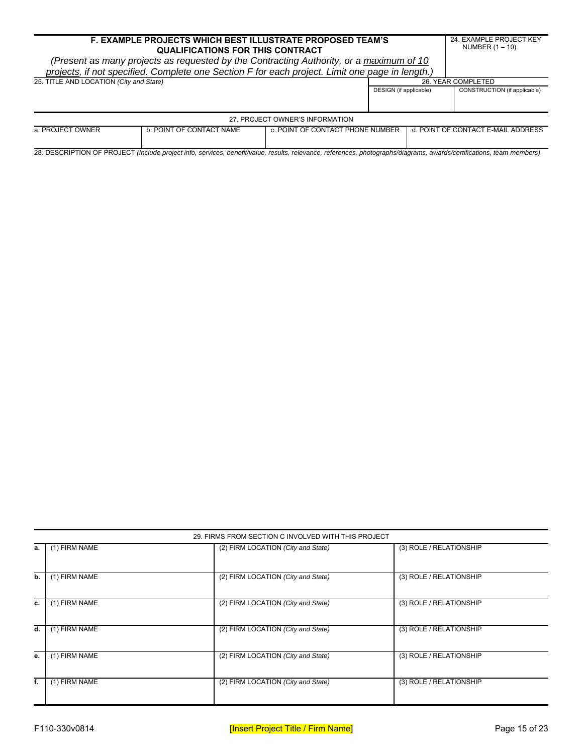| <b>F. EXAMPLE PROJECTS WHICH BEST ILLUSTRATE PROPOSED TEAM'S</b> |                                                                                                                                                                       | 24. EXAMPLE PROJECT KEY<br>NUMBER $(1 - 10)$ |                        |  |                                    |
|------------------------------------------------------------------|-----------------------------------------------------------------------------------------------------------------------------------------------------------------------|----------------------------------------------|------------------------|--|------------------------------------|
|                                                                  | (Present as many projects as requested by the Contracting Authority, or a maximum of 10                                                                               |                                              |                        |  |                                    |
|                                                                  | projects, if not specified. Complete one Section F for each project. Limit one page in length.)                                                                       |                                              |                        |  |                                    |
| 25. TITLE AND LOCATION (City and State)                          |                                                                                                                                                                       |                                              |                        |  | 26. YEAR COMPLETED                 |
|                                                                  |                                                                                                                                                                       |                                              | DESIGN (if applicable) |  | CONSTRUCTION (if applicable)       |
|                                                                  |                                                                                                                                                                       |                                              |                        |  |                                    |
|                                                                  |                                                                                                                                                                       | 27. PROJECT OWNER'S INFORMATION              |                        |  |                                    |
| a. PROJECT OWNER                                                 | <b>b. POINT OF CONTACT NAME</b>                                                                                                                                       | c. POINT OF CONTACT PHONE NUMBER             |                        |  | d. POINT OF CONTACT E-MAIL ADDRESS |
|                                                                  | 28. DESCRIPTION OF PROJECT (Include project info, services, benefit/value, results, relevance, references, photographs/diagrams, awards/certifications, team members) |                                              |                        |  |                                    |

|    | 29. FIRMS FROM SECTION C INVOLVED WITH THIS PROJECT |                                    |                         |  |  |  |  |  |
|----|-----------------------------------------------------|------------------------------------|-------------------------|--|--|--|--|--|
| a. | (1) FIRM NAME                                       | (2) FIRM LOCATION (City and State) | (3) ROLE / RELATIONSHIP |  |  |  |  |  |
| b. | (1) FIRM NAME                                       | (2) FIRM LOCATION (City and State) | (3) ROLE / RELATIONSHIP |  |  |  |  |  |
| c. | (1) FIRM NAME                                       | (2) FIRM LOCATION (City and State) | (3) ROLE / RELATIONSHIP |  |  |  |  |  |
| d. | (1) FIRM NAME                                       | (2) FIRM LOCATION (City and State) | (3) ROLE / RELATIONSHIP |  |  |  |  |  |
| е. | (1) FIRM NAME                                       | (2) FIRM LOCATION (City and State) | (3) ROLE / RELATIONSHIP |  |  |  |  |  |
| f. | (1) FIRM NAME                                       | (2) FIRM LOCATION (City and State) | (3) ROLE / RELATIONSHIP |  |  |  |  |  |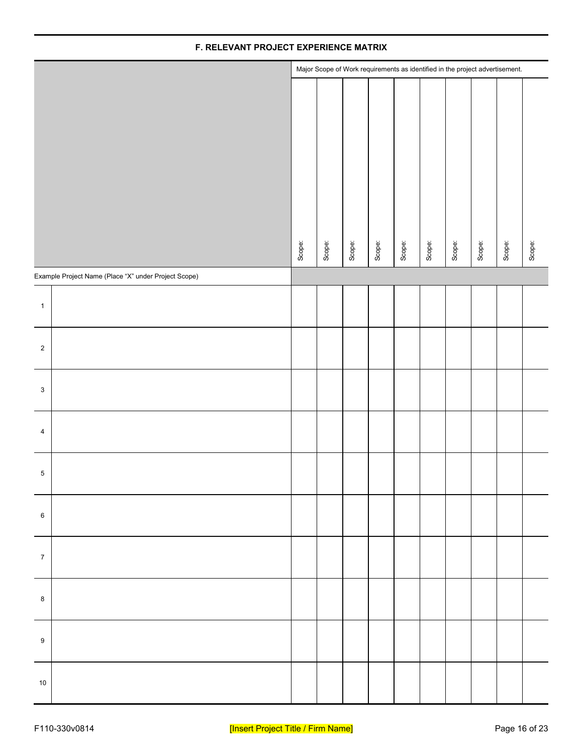### **F. RELEVANT PROJECT EXPERIENCE MATRIX**

|                           |                                                      |        |        |        |        |        |        |        |        | Major Scope of Work requirements as identified in the project advertisement. |        |
|---------------------------|------------------------------------------------------|--------|--------|--------|--------|--------|--------|--------|--------|------------------------------------------------------------------------------|--------|
|                           |                                                      | Scope: | Scope: | Scope: | Scope: | Scope: | Scope: | Scope: | Scope: | Scope:                                                                       | Scope: |
|                           | Example Project Name (Place "X" under Project Scope) |        |        |        |        |        |        |        |        |                                                                              |        |
| $\mathbf{1}$              |                                                      |        |        |        |        |        |        |        |        |                                                                              |        |
| $\sqrt{2}$                |                                                      |        |        |        |        |        |        |        |        |                                                                              |        |
| $\ensuremath{\mathsf{3}}$ |                                                      |        |        |        |        |        |        |        |        |                                                                              |        |
| $\overline{4}$            |                                                      |        |        |        |        |        |        |        |        |                                                                              |        |
| $\,$ 5 $\,$               |                                                      |        |        |        |        |        |        |        |        |                                                                              |        |
| $\,6\,$                   |                                                      |        |        |        |        |        |        |        |        |                                                                              |        |
| $\boldsymbol{7}$          |                                                      |        |        |        |        |        |        |        |        |                                                                              |        |
| $\bf 8$                   |                                                      |        |        |        |        |        |        |        |        |                                                                              |        |
| $\boldsymbol{9}$          |                                                      |        |        |        |        |        |        |        |        |                                                                              |        |
| $10\,$                    |                                                      |        |        |        |        |        |        |        |        |                                                                              |        |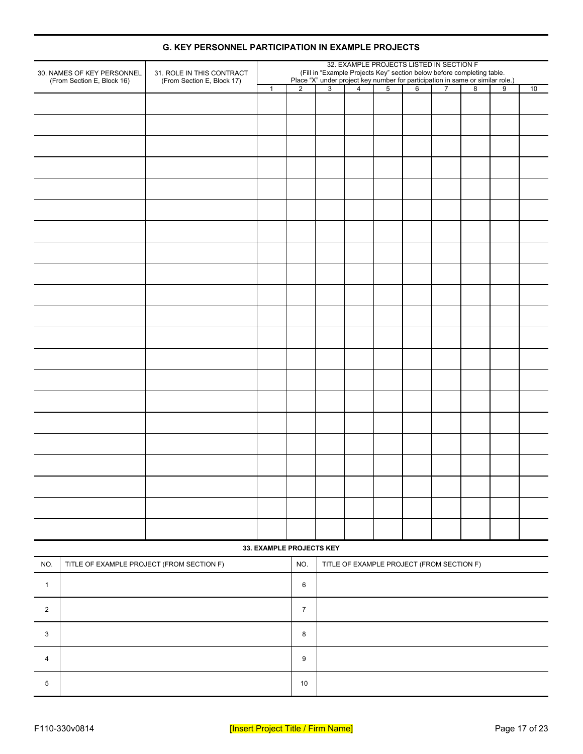| 30. NAMES OF KEY PERSONNEL<br>(From Section E, Block 16) | 31. ROLE IN THIS CONTRACT<br>(From Section E, Block 17) |                          |                |                | 32. EXAMPLE PROJECTS LISTED IN SECTION F<br>(Fill in "Example Projects Key" section below before completing table.<br>Place "X" under project key number for participation in same or similar role.) |   |   |                |         |   |    |
|----------------------------------------------------------|---------------------------------------------------------|--------------------------|----------------|----------------|------------------------------------------------------------------------------------------------------------------------------------------------------------------------------------------------------|---|---|----------------|---------|---|----|
|                                                          |                                                         | $\mathbf{1}$             | $\overline{2}$ | $\overline{3}$ | $\overline{4}$                                                                                                                                                                                       | 5 | 6 | $\overline{7}$ | $\bf 8$ | 9 | 10 |
|                                                          |                                                         |                          |                |                |                                                                                                                                                                                                      |   |   |                |         |   |    |
|                                                          |                                                         |                          |                |                |                                                                                                                                                                                                      |   |   |                |         |   |    |
|                                                          |                                                         |                          |                |                |                                                                                                                                                                                                      |   |   |                |         |   |    |
|                                                          |                                                         |                          |                |                |                                                                                                                                                                                                      |   |   |                |         |   |    |
|                                                          |                                                         |                          |                |                |                                                                                                                                                                                                      |   |   |                |         |   |    |
|                                                          |                                                         |                          |                |                |                                                                                                                                                                                                      |   |   |                |         |   |    |
|                                                          |                                                         |                          |                |                |                                                                                                                                                                                                      |   |   |                |         |   |    |
|                                                          |                                                         |                          |                |                |                                                                                                                                                                                                      |   |   |                |         |   |    |
|                                                          |                                                         |                          |                |                |                                                                                                                                                                                                      |   |   |                |         |   |    |
|                                                          |                                                         |                          |                |                |                                                                                                                                                                                                      |   |   |                |         |   |    |
|                                                          |                                                         |                          |                |                |                                                                                                                                                                                                      |   |   |                |         |   |    |
|                                                          |                                                         |                          |                |                |                                                                                                                                                                                                      |   |   |                |         |   |    |
|                                                          |                                                         |                          |                |                |                                                                                                                                                                                                      |   |   |                |         |   |    |
|                                                          |                                                         |                          |                |                |                                                                                                                                                                                                      |   |   |                |         |   |    |
|                                                          |                                                         |                          |                |                |                                                                                                                                                                                                      |   |   |                |         |   |    |
|                                                          |                                                         |                          |                |                |                                                                                                                                                                                                      |   |   |                |         |   |    |
|                                                          |                                                         |                          |                |                |                                                                                                                                                                                                      |   |   |                |         |   |    |
|                                                          |                                                         |                          |                |                |                                                                                                                                                                                                      |   |   |                |         |   |    |
|                                                          |                                                         |                          |                |                |                                                                                                                                                                                                      |   |   |                |         |   |    |
|                                                          |                                                         |                          |                |                |                                                                                                                                                                                                      |   |   |                |         |   |    |
|                                                          |                                                         |                          |                |                |                                                                                                                                                                                                      |   |   |                |         |   |    |
|                                                          |                                                         |                          |                |                |                                                                                                                                                                                                      |   |   |                |         |   |    |
|                                                          |                                                         |                          |                |                |                                                                                                                                                                                                      |   |   |                |         |   |    |
|                                                          |                                                         | 33. EXAMPLE PROJECTS KEY |                |                |                                                                                                                                                                                                      |   |   |                |         |   |    |

### **G. KEY PERSONNEL PARTICIPATION IN EXAMPLE PROJECTS**

| NO. | TITLE OF EXAMPLE PROJECT (FROM SECTION F) | NO. | TITLE OF EXAMPLE PROJECT (FROM SECTION F) |
|-----|-------------------------------------------|-----|-------------------------------------------|
|     |                                           | 6   |                                           |
| 2   |                                           |     |                                           |
| 3   |                                           | 8   |                                           |
| 4   |                                           | 9   |                                           |
| 5   |                                           | 10  |                                           |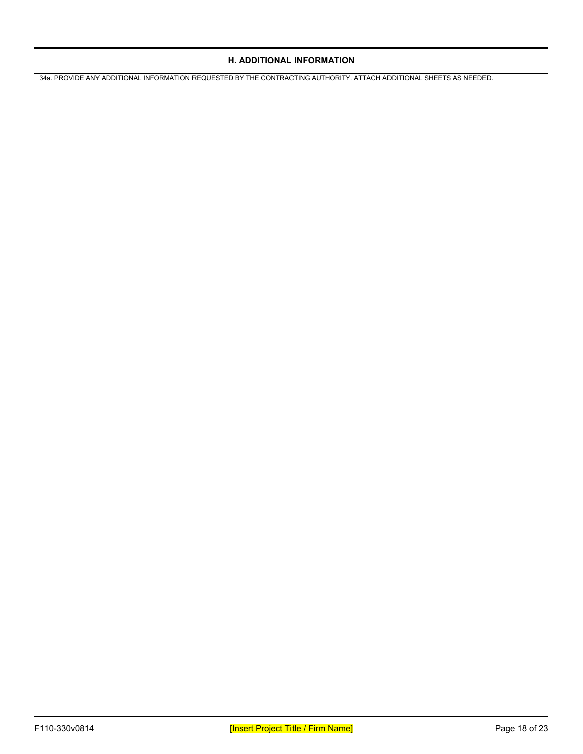34a. PROVIDE ANY ADDITIONAL INFORMATION REQUESTED BY THE CONTRACTING AUTHORITY. ATTACH ADDITIONAL SHEETS AS NEEDED.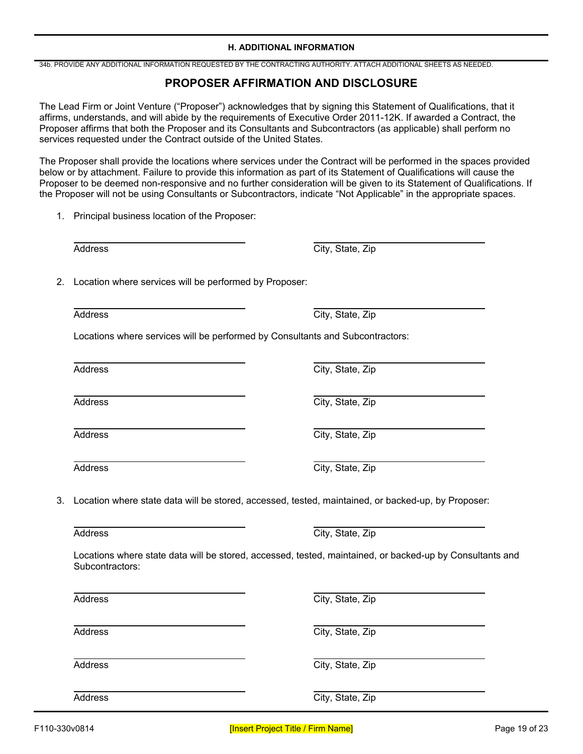34b. PROVIDE ANY ADDITIONAL INFORMATION REQUESTED BY THE CONTRACTING AUTHORITY. ATTACH ADDITIONAL SHEETS AS NEEDED.

### **PROPOSER AFFIRMATION AND DISCLOSURE**

The Lead Firm or Joint Venture ("Proposer") acknowledges that by signing this Statement of Qualifications, that it affirms, understands, and will abide by the requirements of Executive Order 2011-12K. If awarded a Contract, the Proposer affirms that both the Proposer and its Consultants and Subcontractors (as applicable) shall perform no services requested under the Contract outside of the United States.

The Proposer shall provide the locations where services under the Contract will be performed in the spaces provided below or by attachment. Failure to provide this information as part of its Statement of Qualifications will cause the Proposer to be deemed non-responsive and no further consideration will be given to its Statement of Qualifications. If the Proposer will not be using Consultants or Subcontractors, indicate "Not Applicable" in the appropriate spaces.

1. Principal business location of the Proposer:

Address City, State, Zip

2. Location where services will be performed by Proposer:

Address City, State, Zip

Locations where services will be performed by Consultants and Subcontractors:

Address City, State, Zip

3. Location where state data will be stored, accessed, tested, maintained, or backed-up, by Proposer:

Locations where state data will be stored, accessed, tested, maintained, or backed-up by Consultants and Subcontractors:

Address City, State, Zip

Address City, State, Zip

Address City, State, Zip

Address City, State, Zip

Address City, State, Zip

Address City, State, Zip

Address City, State, Zip

Address City, State, Zip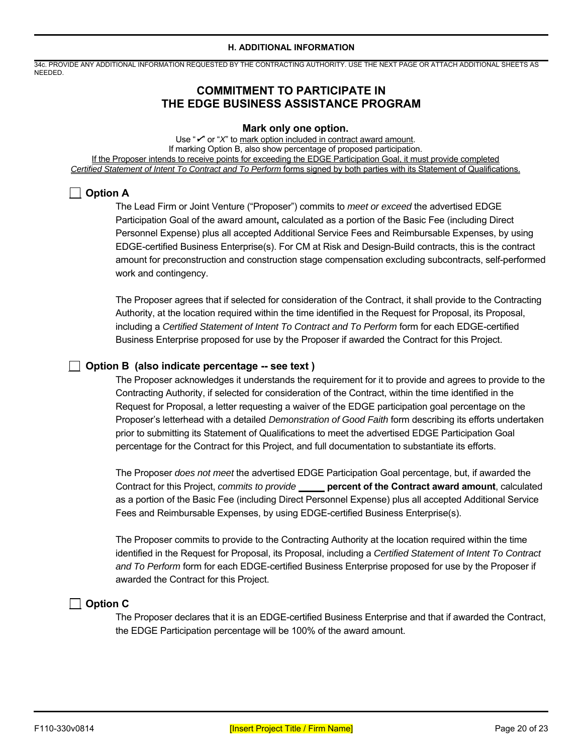34c. PROVIDE ANY ADDITIONAL INFORMATION REQUESTED BY THE CONTRACTING AUTHORITY. USE THE NEXT PAGE OR ATTACH ADDITIONAL SHEETS AS NEEDED.

## **COMMITMENT TO PARTICIPATE IN THE EDGE BUSINESS ASSISTANCE PROGRAM**

#### **Mark only one option.**

Use " $\checkmark$ " or "X" to mark option included in contract award amount. If marking Option B, also show percentage of proposed participation. If the Proposer intends to receive points for exceeding the EDGE Participation Goal, it must provide completed *Certified Statement of Intent To Contract and To Perform* forms signed by both parties with its Statement of Qualifications.

### **Option A**

The Lead Firm or Joint Venture ("Proposer") commits to *meet or exceed* the advertised EDGE Participation Goal of the award amount**,** calculated as a portion of the Basic Fee (including Direct Personnel Expense) plus all accepted Additional Service Fees and Reimbursable Expenses, by using EDGE-certified Business Enterprise(s). For CM at Risk and Design-Build contracts, this is the contract amount for preconstruction and construction stage compensation excluding subcontracts, self-performed work and contingency.

 The Proposer agrees that if selected for consideration of the Contract, it shall provide to the Contracting Authority, at the location required within the time identified in the Request for Proposal, its Proposal, including a *Certified Statement of Intent To Contract and To Perform* form for each EDGE-certified Business Enterprise proposed for use by the Proposer if awarded the Contract for this Project.

### **Option B (also indicate percentage -- see text )**

The Proposer acknowledges it understands the requirement for it to provide and agrees to provide to the Contracting Authority, if selected for consideration of the Contract, within the time identified in the Request for Proposal, a letter requesting a waiver of the EDGE participation goal percentage on the Proposer's letterhead with a detailed *Demonstration of Good Faith* form describing its efforts undertaken prior to submitting its Statement of Qualifications to meet the advertised EDGE Participation Goal percentage for the Contract for this Project, and full documentation to substantiate its efforts.

 The Proposer *does not meet* the advertised EDGE Participation Goal percentage, but, if awarded the Contract for this Project, *commits to provide* **percent of the Contract award amount**, calculated as a portion of the Basic Fee (including Direct Personnel Expense) plus all accepted Additional Service Fees and Reimbursable Expenses, by using EDGE-certified Business Enterprise(s).

 The Proposer commits to provide to the Contracting Authority at the location required within the time identified in the Request for Proposal, its Proposal, including a *Certified Statement of Intent To Contract and To Perform* form for each EDGE-certified Business Enterprise proposed for use by the Proposer if awarded the Contract for this Project.

### **Option C**

 The Proposer declares that it is an EDGE-certified Business Enterprise and that if awarded the Contract, the EDGE Participation percentage will be 100% of the award amount.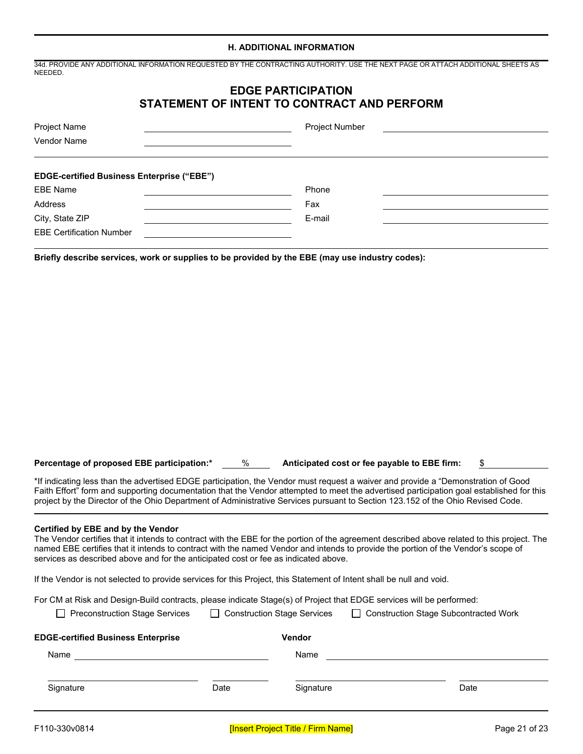|         |  |  |  |  | 34d. PROVIDE ANY ADDITIONAL INFORMATION REQUESTED BY THE CONTRACTING AUTHORITY. USE THE NEXT PAGE OR ATTACH ADDITIONAL SHEETS AS |  |  |
|---------|--|--|--|--|----------------------------------------------------------------------------------------------------------------------------------|--|--|
| NEEDED. |  |  |  |  |                                                                                                                                  |  |  |
|         |  |  |  |  |                                                                                                                                  |  |  |

### **EDGE PARTICIPATION STATEMENT OF INTENT TO CONTRACT AND PERFORM**

| Project Name<br>Vendor Name                                          | <b>Project Number</b> |
|----------------------------------------------------------------------|-----------------------|
| <b>EDGE-certified Business Enterprise ("EBE")</b><br><b>EBE Name</b> | Phone                 |
| Address                                                              | Fax                   |
| City, State ZIP                                                      | E-mail                |
| <b>EBE Certification Number</b>                                      |                       |

**Briefly describe services, work or supplies to be provided by the EBE (may use industry codes):** 

**Percentage of proposed EBE participation:\*** % **Anticipated cost or fee payable to EBE firm:** \$

\*If indicating less than the advertised EDGE participation, the Vendor must request a waiver and provide a "Demonstration of Good Faith Effort" form and supporting documentation that the Vendor attempted to meet the advertised participation goal established for this project by the Director of the Ohio Department of Administrative Services pursuant to Section 123.152 of the Ohio Revised Code.

#### **Certified by EBE and by the Vendor**

The Vendor certifies that it intends to contract with the EBE for the portion of the agreement described above related to this project. The named EBE certifies that it intends to contract with the named Vendor and intends to provide the portion of the Vendor's scope of services as described above and for the anticipated cost or fee as indicated above.

If the Vendor is not selected to provide services for this Project, this Statement of Intent shall be null and void.

For CM at Risk and Design-Build contracts, please indicate Stage(s) of Project that EDGE services will be performed:

| <b>Preconstruction Stage Services</b> | ◯ Construction Stage Services | □ Construction Stage Subcontracted Work |
|---------------------------------------|-------------------------------|-----------------------------------------|
|---------------------------------------|-------------------------------|-----------------------------------------|

| <b>EDGE-certified Business Enterprise</b> |      | <b>Vendor</b> |      |
|-------------------------------------------|------|---------------|------|
| Name                                      |      | Name          |      |
| Signature                                 | Date | Signature     | Date |
|                                           |      |               |      |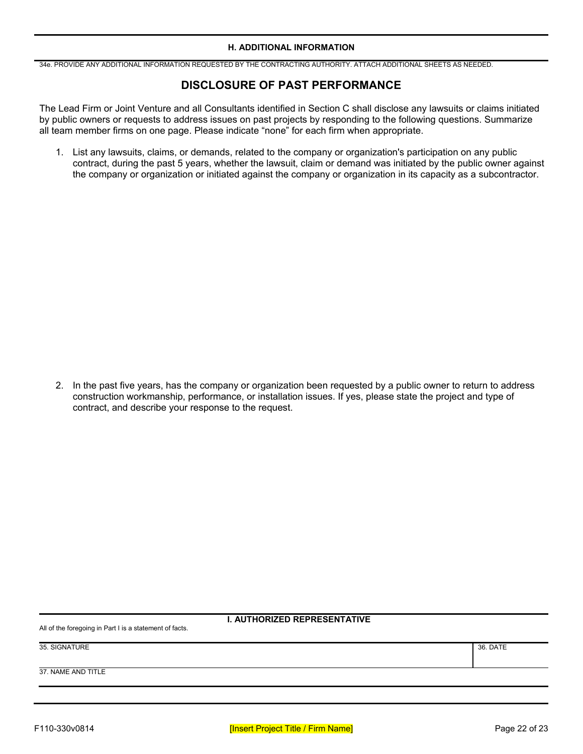34e. PROVIDE ANY ADDITIONAL INFORMATION REQUESTED BY THE CONTRACTING AUTHORITY. ATTACH ADDITIONAL SHEETS AS NEEDED.

### **DISCLOSURE OF PAST PERFORMANCE**

The Lead Firm or Joint Venture and all Consultants identified in Section C shall disclose any lawsuits or claims initiated by public owners or requests to address issues on past projects by responding to the following questions. Summarize all team member firms on one page. Please indicate "none" for each firm when appropriate.

1. List any lawsuits, claims, or demands, related to the company or organization's participation on any public contract, during the past 5 years, whether the lawsuit, claim or demand was initiated by the public owner against the company or organization or initiated against the company or organization in its capacity as a subcontractor.

2. In the past five years, has the company or organization been requested by a public owner to return to address construction workmanship, performance, or installation issues. If yes, please state the project and type of contract, and describe your response to the request.

### **I. AUTHORIZED REPRESENTATIVE**

All of the foregoing in Part I is a statement of facts.

35. SIGNATURE 36. DATE

37. NAME AND TITLE